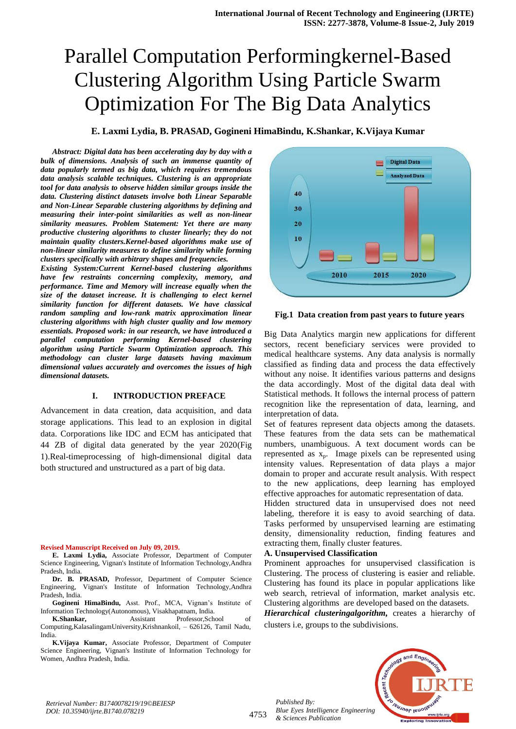# Parallel Computation Performingkernel-Based Clustering Algorithm Using Particle Swarm Optimization For The Big Data Analytics

# **E. Laxmi Lydia, B. PRASAD, Gogineni HimaBindu, K.Shankar, K.Vijaya Kumar**

*Abstract: Digital data has been accelerating day by day with a bulk of dimensions. Analysis of such an immense quantity of data popularly termed as big data, which requires tremendous data analysis scalable techniques. Clustering is an appropriate tool for data analysis to observe hidden similar groups inside the data. Clustering distinct datasets involve both Linear Separable and Non-Linear Separable clustering algorithms by defining and measuring their inter-point similarities as well as non-linear similarity measures. Problem Statement: Yet there are many productive clustering algorithms to cluster linearly; they do not maintain quality clusters.Kernel-based algorithms make use of non-linear similarity measures to define similarity while forming clusters specifically with arbitrary shapes and frequencies.*

*Existing System:Current Kernel-based clustering algorithms have few restraints concerning complexity, memory, and performance. Time and Memory will increase equally when the size of the dataset increase. It is challenging to elect kernel similarity function for different datasets. We have classical random sampling and low-rank matrix approximation linear clustering algorithms with high cluster quality and low memory essentials. Proposed work: in our research, we have introduced a parallel computation performing Kernel-based clustering algorithm using Particle Swarm Optimization approach. This methodology can cluster large datasets having maximum dimensional values accurately and overcomes the issues of high dimensional datasets.*

## **I. INTRODUCTION PREFACE**

Advancement in data creation, data acquisition, and data storage applications. This lead to an explosion in digital data. Corporations like IDC and ECM has anticipated that 44 ZB of digital data generated by the year 2020(Fig 1).Real-timeprocessing of high-dimensional digital data both structured and unstructured as a part of big data.

#### **Revised Manuscript Received on July 09, 2019.**

**E. Laxmi Lydia,** Associate Professor, Department of Computer Science Engineering, Vignan's Institute of Information Technology,Andhra Pradesh, India.

**Dr. B. PRASAD,** Professor, Department of Computer Science Engineering, Vignan's Institute of Information Technology,Andhra Pradesh, India.

**Gogineni HimaBindu,** Asst. Prof., MCA, Vignan's Institute of Information Technology(Autonomous), Visakhapatnam, India.

**K.Shankar, Assistant Professor,School** of Computing,KalasalingamUniversity,Krishnankoil, – 626126, Tamil Nadu, India.

**K.Vijaya Kumar,** Associate Professor, Department of Computer Science Engineering, Vignan's Institute of Information Technology for Women, Andhra Pradesh, India.



**Fig.1 Data creation from past years to future years**

Big Data Analytics margin new applications for different sectors, recent beneficiary services were provided to medical healthcare systems. Any data analysis is normally classified as finding data and process the data effectively without any noise. It identifies various patterns and designs the data accordingly. Most of the digital data deal with Statistical methods. It follows the internal process of pattern recognition like the representation of data, learning, and interpretation of data.

Set of features represent data objects among the datasets. These features from the data sets can be mathematical numbers, unambiguous. A text document words can be represented as xp. Image pixels can be represented using intensity values. Representation of data plays a major domain to proper and accurate result analysis. With respect to the new applications, deep learning has employed effective approaches for automatic representation of data.

Hidden structured data in unsupervised does not need labeling, therefore it is easy to avoid searching of data. Tasks performed by unsupervised learning are estimating density, dimensionality reduction, finding features and extracting them, finally cluster features.

#### **A. Unsupervised Classification**

Prominent approaches for unsupervised classification is Clustering. The process of clustering is easier and reliable. Clustering has found its place in popular applications like web search, retrieval of information, market analysis etc. Clustering algorithms are developed based on the datasets.

*Hierarchical clusteringalgorithm,* creates a hierarchy of clusters i.e, groups to the subdivisions.



4753

*Published By: Blue Eyes Intelligence Engineering & Sciences Publication*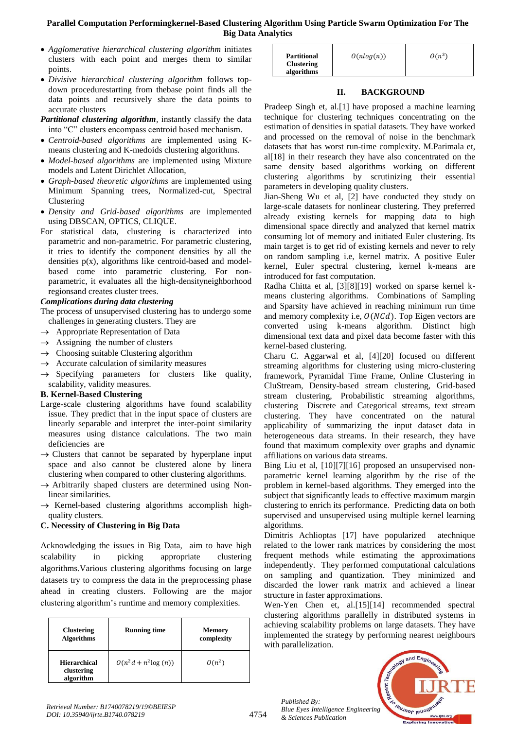# **Parallel Computation Performingkernel-Based Clustering Algorithm Using Particle Swarm Optimization For The Big Data Analytics**

- *Agglomerative hierarchical clustering algorithm* initiates clusters with each point and merges them to similar points.
- *Divisive hierarchical clustering algorithm* follows topdown procedurestarting from thebase point finds all the data points and recursively share the data points to accurate clusters
- *Partitional clustering algorithm,* instantly classify the data into "C" clusters encompass centroid based mechanism.
- *Centroid-based algorithms* are implemented using Kmeans clustering and K-medoids clustering algorithms.
- *Model-based algorithms* are implemented using Mixture models and Latent Dirichlet Allocation,
- *Graph-based theoretic algorithms* are implemented using Minimum Spanning trees, Normalized-cut, Spectral Clustering
- *Density and Grid-based algorithms* are implemented using DBSCAN, OPTICS, CLIQUE.
- For statistical data, clustering is characterized into parametric and non-parametric. For parametric clustering, it tries to identify the component densities by all the densities  $p(x)$ , algorithms like centroid-based and modelbased come into parametric clustering. For nonparametric, it evaluates all the high-densityneighborhood regionsand creates cluster trees.

## *Complications during data clustering*

- The process of unsupervised clustering has to undergo some challenges in generating clusters. They are
- $\rightarrow$  Appropriate Representation of Data
- $\rightarrow$  Assigning the number of clusters
- $\rightarrow$  Choosing suitable Clustering algorithm
- $\rightarrow$  Accurate calculation of similarity measures
- $\rightarrow$  Specifying parameters for clusters like quality, scalability, validity measures.

## **B. Kernel-Based Clustering**

- Large-scale clustering algorithms have found scalability issue. They predict that in the input space of clusters are linearly separable and interpret the inter-point similarity measures using distance calculations. The two main deficiencies are
- $\rightarrow$  Clusters that cannot be separated by hyperplane input space and also cannot be clustered alone by linera clustering when compared to other clustering algorithms.
- $\rightarrow$  Arbitrarily shaped clusters are determined using Nonlinear similarities.
- $\rightarrow$  Kernel-based clustering algorithms accomplish highquality clusters.

# **C. Necessity of Clustering in Big Data**

Acknowledging the issues in Big Data, aim to have high scalability in picking appropriate clustering algorithms.Various clustering algorithms focusing on large datasets try to compress the data in the preprocessing phase ahead in creating clusters. Following are the major clustering algorithm's runtime and memory complexities.

| <b>Clustering</b><br><b>Algorithms</b>         | <b>Running time</b>   | <b>Memory</b><br>complexity |
|------------------------------------------------|-----------------------|-----------------------------|
| <b>Hierarchical</b><br>clustering<br>algorithm | $O(n^2d + n^2log(n))$ | $O(n^2)$                    |

| <b>Partitional</b><br><b>Clustering</b> | $O(n \log(n))$ | $O(n^3)$ |
|-----------------------------------------|----------------|----------|
| algorithms                              |                |          |

# **II. BACKGROUND**

Pradeep Singh et, al.[1] have proposed a machine learning technique for clustering techniques concentrating on the estimation of densities in spatial datasets. They have worked and processed on the removal of noise in the benchmark datasets that has worst run-time complexity. M.Parimala et, al[18] in their research they have also concentrated on the same density based algorithms working on different clustering algorithms by scrutinizing their essential parameters in developing quality clusters.

Jian-Sheng Wu et al, [2] have conducted they study on large-scale datasets for nonlinear clustering. They preferred already existing kernels for mapping data to high dimensional space directly and analyzed that kernel matrix consuming lot of memory and initiated Euler clustering. Its main target is to get rid of existing kernels and never to rely on random sampling i.e, kernel matrix. A positive Euler kernel, Euler spectral clustering, kernel k-means are introduced for fast computation.

Radha Chitta et al, [3][8][19] worked on sparse kernel kmeans clustering algorithms. Combinations of Sampling and Sparsity have achieved in reaching minimum run time and memory complexity i.e,  $O(NCd)$ . Top Eigen vectors are converted using k-means algorithm. Distinct high dimensional text data and pixel data become faster with this kernel-based clustering.

Charu C. Aggarwal et al, [4][20] focused on different streaming algorithms for clustering using micro-clustering framework, Pyramidal Time Frame, Online Clustering in CluStream, Density-based stream clustering, Grid-based stream clustering, Probabilistic streaming algorithms, clustering Discrete and Categorical streams, text stream clustering. They have concentrated on the natural applicability of summarizing the input dataset data in heterogeneous data streams. In their research, they have found that maximum complexity over graphs and dynamic affiliations on various data streams.

Bing Liu et al, [10][7][16] proposed an unsupervised nonparametric kernel learning algorithm by the rise of the problem in kernel-based algorithms. They emerged into the subject that significantly leads to effective maximum margin clustering to enrich its performance. Predicting data on both supervised and unsupervised using multiple kernel learning algorithms.

Dimitris Achlioptas [17] have popularized atechnique related to the lower rank matrices by considering the most frequent methods while estimating the approximations independently. They performed computational calculations on sampling and quantization. They minimized and discarded the lower rank matrix and achieved a linear structure in faster approximations.

Wen-Yen Chen et, al.<sup>[15][14]</sup> recommended spectral clustering algorithms parallelly in distributed systems in achieving scalability problems on large datasets. They have implemented the strategy by performing nearest neighbours with parallelization.

*Published By: Blue Eyes Intelligence Engineering & Sciences Publication* 



4754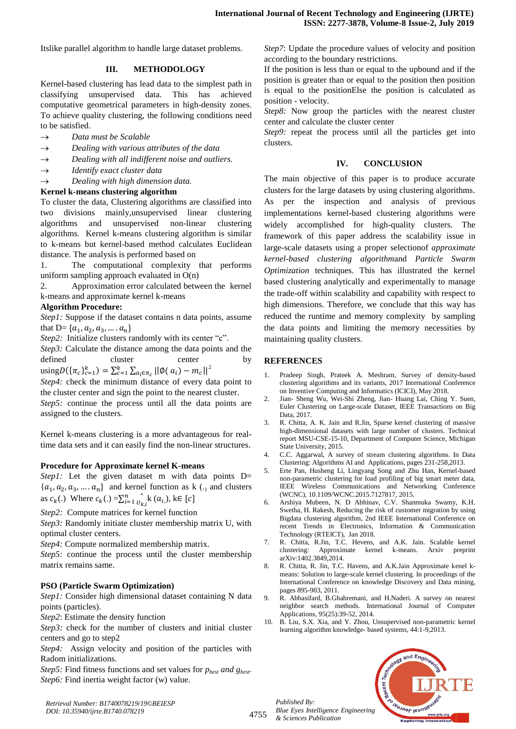Itslike parallel algorithm to handle large dataset problems.

## **III. METHODOLOGY**

Kernel-based clustering has lead data to the simplest path in classifying unsupervised data. This has achieved computative geometrical parameters in high-density zones. To achieve quality clustering, the following conditions need to be satisfied.

- *Data must be Scalable*
- *Dealing with various attributes of the data*
- *Dealing with all indifferent noise and outliers.*
- *Identify exact cluster data*
- *Dealing with high dimension data.*

## **Kernel k-means clustering algorithm**

To cluster the data, Clustering algorithms are classified into two divisions mainly,unsupervised linear clustering algorithms and unsupervised non-linear clustering algorithms. Kernel k-means clustering algorithm is similar to k-means but kernel-based method calculates Euclidean distance. The analysis is performed based on

1. The computational complexity that performs uniform sampling approach evaluated in  $O(n)$ 

2. Approximation error calculated between the kernel k-means and approximate kernel k-means

## **Algorithm Procedure:**

*Step1*: Suppose if the dataset contains n data points, assume that D=  $\{a_1, a_2, a_3, a_4\}$ 

*Step2:* Initialize clusters randomly with its center "c".

*Step3:* Calculate the distance among the data points and the defined cluster center by using  $D(\{\pi_c\}_{c=1}^k) = \sum_{c=1}^k \sum_{a_i \in \pi_c} ||\phi(a_i) - m_c||^2$ 

*Step4:* check the minimum distance of every data point to the cluster center and sign the point to the nearest cluster.

*Step5:* continue the process until all the data points are assigned to the clusters.

Kernel k-means clustering is a more advantageous for realtime data sets and it can easily find the non-linear structures.

#### **Procedure for Approximate kernel K-means**

*Step1*: Let the given dataset m with data points D=  $\{a_1, a_2, a_3, \dots, a_n\}$  and kernel function as k (.) and clusters as  $c_k(.)$  Where  $c_k(.) = \sum_{i=1}^n \int_{u_i}$  $\sum_{i=1}^{n} \int_{U_{ki}}^{V_{ki}} k(a_{i,j}), k \in$ 

*Step2:* Compute matrices for kernel function

*Step3:* Randomly initiate cluster membership matrix U, with optimal cluster centers.

*Step4:* Compute normalized membership matrix.

*Step5:* continue the process until the cluster membership matrix remains same.

## **PSO (Particle Swarm Optimization)**

*Step1:* Consider high dimensional dataset containing N data points (particles).

*Step2*: Estimate the density function

*Step3:* check for the number of clusters and initial cluster centers and go to step2

*Step4:* Assign velocity and position of the particles with Radom initializations.

*Step5:* Find fitness functions and set values for  $p_{best}$  *and*  $g_{best}$ *. Step6:* Find inertia weight factor (w) value.

*Step7*: Update the procedure values of velocity and position according to the boundary restrictions.

If the position is less than or equal to the upbound and if the position is greater than or equal to the position then position is equal to the positionElse the position is calculated as position - velocity.

*Step8:* Now group the particles with the nearest cluster center and calculate the cluster center

*Step9*: repeat the process until all the particles get into clusters.

## **IV. CONCLUSION**

The main objective of this paper is to produce accurate clusters for the large datasets by using clustering algorithms. As per the inspection and analysis of previous implementations kernel-based clustering algorithms were widely accomplished for high-quality clusters. The framework of this paper address the scalability issue in large-scale datasets using a proper selectionof *approximate kernel-based clustering algorithm*and *Particle Swarm Optimization* techniques. This has illustrated the kernel based clustering analytically and experimentally to manage the trade-off within scalability and capability with respect to high dimensions. Therefore, we conclude that this way has reduced the runtime and memory complexity by sampling the data points and limiting the memory necessities by maintaining quality clusters.

## **REFERENCES**

- 1. Pradeep Singh, Prateek A. Meshram, Survey of density-based clustering algorithms and its variants, 2017 International Conference on Inventive Computing and Informatics (ICICI), May 2018.
- 2. Jian- Sheng Wu, Wei-Shi Zheng, Jian- Huang Lai, Ching Y. Suen, Euler Clustering on Large-scale Dataset, IEEE Transactions on Big Data, 2017.
- 3. R. Chitta, A. K. Jain and R.Jin, Sparse kernel clustering of massive high-dimensional datasets with large number of clusters. Technical report MSU-CSE-15-10, Department of Computer Science, Michigan State University, 2015.
- 4. C.C. Aggarwal, A survey of stream clustering algorithms. In Data Clustering: Algorithms AI and Applications, pages 231-258,2013.
- 5. Erte Pan, Husheng Li, Lingyang Song and Zhu Han, Kernel-based non-parametric clustering for load profiling of big smart meter data, IEEE Wireless Communications and Networking Conference (WCNC), 10.1109/WCNC.2015.7127817, 2015.
- 6. Arshiya Mubeen, N. D Abhinav, C.V. Shanmuka Swamy, K.H. Swetha, H. Rakesh, Reducing the risk of customer migration by using Bigdata clustering algorithm, 2nd IEEE International Conference on recent Trends in Electronics, Information & Communication Technology (RTEICT), Jan 2018.
- 7. R. Chitta, R.Jin, T.C. Hevens, and A.K. Jain. Scalable kernel clustering: Approximate kernel k-means. Arxiv preprint arXiv:1402.3849,2014.
- 8. R. Chitta, R. Jin, T.C. Havens, and A.K.Jain Approximate kenel kmeans: Solution to large-scale kernel clustering. In proceedings of the International Conference on knowledge Discovery and Data mining, pages 895-903, 2011.
- 9. R. Abbasifard, B.Ghahremani, and H.Naderi. A survey on nearest neighbor search methods. International Journal of Computer Applications, 95(25):39-52, 2014.
- 10. B. Liu, S.X. Xia, and Y. Zhou, Unsupervised non-parametric kernel learning algorithm knowledge- based systems, 44:1-9,2013.



*Retrieval Number: B1740078219/19©BEIESP DOI: 10.35940/ijrte.B1740.078219*

4755

*Published By:*

*& Sciences Publication*